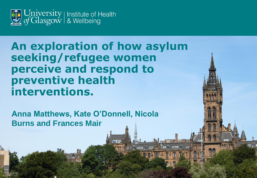

### **An exploration of how asylum seeking/refugee women perceive and respond to preventive health interventions.**

 $\mathbb{Z}$  may be a set of  $\mathbb{Z}$ 

 $\Delta$ 

**Anna Matthews, Kate O'Donnell, Nicola Burns and Frances Mair**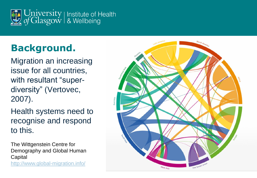

### **Background.**

Migration an increasing issue for all countries, with resultant "superdiversity" (Vertovec, 2007).

Health systems need to recognise and respond to this.

The Wittgenstein Centre for Demography and Global Human **Capital** <http://www.global-migration.info/>

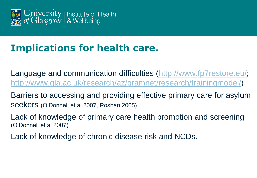

### **Implications for health care.**

Language and communication difficulties ([http://www.fp7restore.eu/;](http://www.fp7restore.eu/) <http://www.gla.ac.uk/research/az/gramnet/research/trainingmodel/>)

Barriers to accessing and providing effective primary care for asylum seekers (O'Donnell et al 2007, Roshan 2005)

Lack of knowledge of primary care health promotion and screening (O'Donnell et al 2007)

Lack of knowledge of chronic disease risk and NCDs.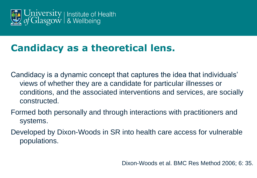

### **Candidacy as a theoretical lens.**

- Candidacy is a dynamic concept that captures the idea that individuals' views of whether they are a candidate for particular illnesses or conditions, and the associated interventions and services, are socially constructed.
- Formed both personally and through interactions with practitioners and systems.
- Developed by Dixon-Woods in SR into health care access for vulnerable populations.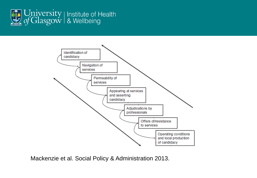



Mackenzie et al. Social Policy & Administration 2013.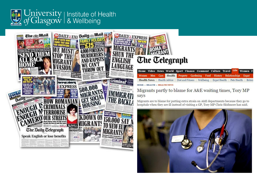



# **The Telegraph**

|                             |  |  |  | Home Video News World Sport Finance Comment Culture Travel Life Women F                          |  |  |
|-----------------------------|--|--|--|--------------------------------------------------------------------------------------------------|--|--|
|                             |  |  |  | Women Men Cars Health Property Gardening Food History Relationships Expat                        |  |  |
|                             |  |  |  | Health News   Health Advice   Diet and Fitness   Wellbeing   Expat Health   Pets Health   Britai |  |  |
| HOME » HEATTH » HEATTH NEWS |  |  |  |                                                                                                  |  |  |

#### Migrants partly to blame for A&E waiting times, Tory MP says

Migrants are to blame for putting extra strain on A&E departments because they go to hospitals when they are ill instead of visiting a GP, Tory MP Chris Skidmore has said.

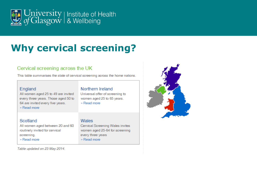

### **Why cervical screening?**

#### Cervical screening across the UK

This table summarises the state of cervical screening across the home nations.

#### England

All women aged 25 to 49 are invited every three years. Those aged 50 to 64 are invited every five years.

» Read more

#### Scotland

All women aged between 20 and 60 routinely invited for cervical screening.

» Read more

#### Northern Ireland

Universal offer of screening to women aged 25 to 65 years. » Read more

#### Wales

Cervical Screening Wales invites women aged 25-64 for screening every three years

» Read more

Table updated on 23 May 2014.

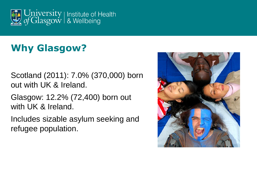

### **Why Glasgow?**

Scotland (2011): 7.0% (370,000) born out with UK & Ireland.

Glasgow: 12.2% (72,400) born out with UK & Ireland.

Includes sizable asylum seeking and refugee population.

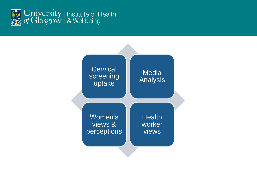

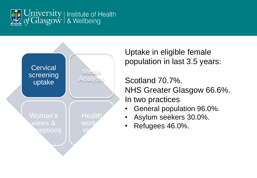



Uptake in eligible female population in last 3.5 years:

Scotland 70.7%. NHS Greater Glasgow 66.6%. In two practices

- General population 96.0%.
- Asylum seekers 30.0%.
- Refugees 46.0%.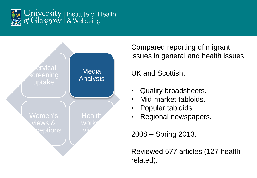



Compared reporting of migrant issues in general and health issues

UK and Scottish:

- Quality broadsheets.
- Mid-market tabloids.
- Popular tabloids.
- Regional newspapers.

2008 – Spring 2013.

Reviewed 577 articles (127 healthrelated).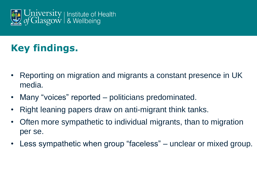

## **Key findings.**

- Reporting on migration and migrants a constant presence in UK media.
- Many "voices" reported politicians predominated.
- Right leaning papers draw on anti-migrant think tanks.
- Often more sympathetic to individual migrants, than to migration per se.
- Less sympathetic when group "faceless" unclear or mixed group.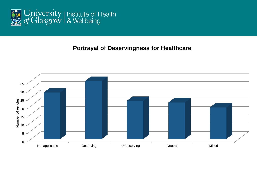

#### **Portrayal of Deservingness for Healthcare**

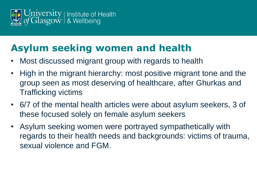

### **Asylum seeking women and health**

- Most discussed migrant group with regards to health
- High in the migrant hierarchy: most positive migrant tone and the group seen as most deserving of healthcare, after Ghurkas and Trafficking victims
- 6/7 of the mental health articles were about asylum seekers, 3 of these focused solely on female asylum seekers
- Asylum seeking women were portrayed sympathetically with regards to their health needs and backgrounds: victims of trauma, sexual violence and FGM.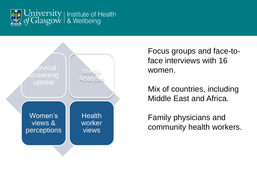



Focus groups and face-toface interviews with 16 women.

Mix of countries, including Middle East and Africa.

Family physicians and community health workers.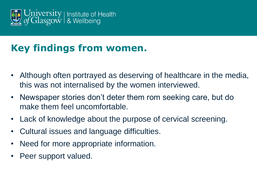

### **Key findings from women.**

- Although often portrayed as deserving of healthcare in the media, this was not internalised by the women interviewed.
- Newspaper stories don't deter them rom seeking care, but do make them feel uncomfortable.
- Lack of knowledge about the purpose of cervical screening.
- Cultural issues and language difficulties.
- Need for more appropriate information.
- Peer support valued.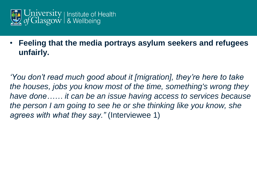

### • **Feeling that the media portrays asylum seekers and refugees unfairly.**

*'You don't read much good about it [migration], they're here to take the houses, jobs you know most of the time, something's wrong they have done…… it can be an issue having access to services because the person I am going to see he or she thinking like you know, she agrees with what they say."* (Interviewee 1)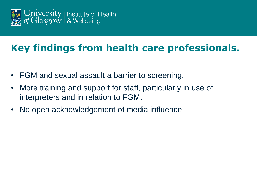

### **Key findings from health care professionals.**

- FGM and sexual assault a barrier to screening.
- More training and support for staff, particularly in use of interpreters and in relation to FGM.
- No open acknowledgement of media influence.